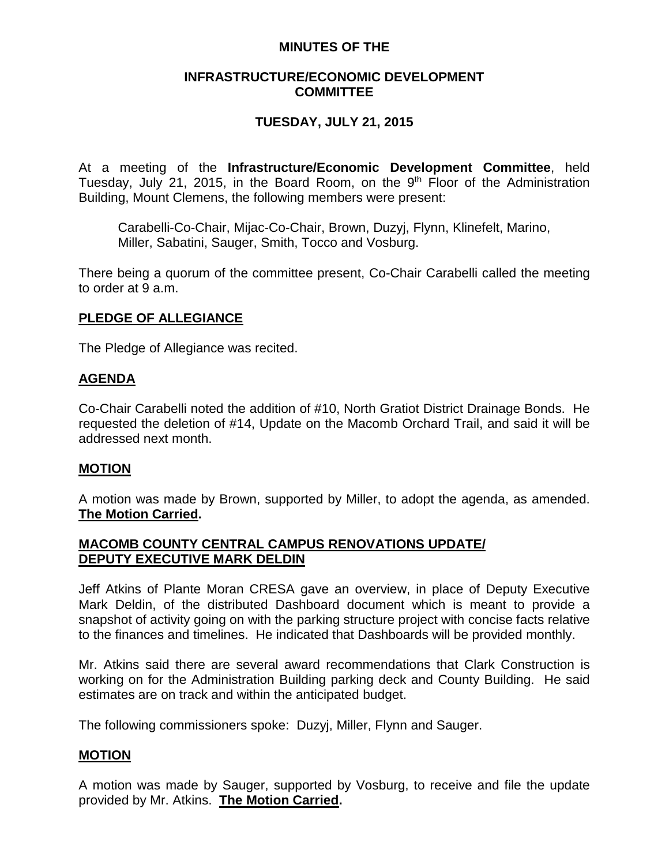### **MINUTES OF THE**

### **INFRASTRUCTURE/ECONOMIC DEVELOPMENT COMMITTEE**

# **TUESDAY, JULY 21, 2015**

At a meeting of the **Infrastructure/Economic Development Committee**, held Tuesday, July 21, 2015, in the Board Room, on the  $9<sup>th</sup>$  Floor of the Administration Building, Mount Clemens, the following members were present:

Carabelli-Co-Chair, Mijac-Co-Chair, Brown, Duzyj, Flynn, Klinefelt, Marino, Miller, Sabatini, Sauger, Smith, Tocco and Vosburg.

There being a quorum of the committee present, Co-Chair Carabelli called the meeting to order at 9 a.m.

# **PLEDGE OF ALLEGIANCE**

The Pledge of Allegiance was recited.

### **AGENDA**

Co-Chair Carabelli noted the addition of #10, North Gratiot District Drainage Bonds. He requested the deletion of #14, Update on the Macomb Orchard Trail, and said it will be addressed next month.

#### **MOTION**

A motion was made by Brown, supported by Miller, to adopt the agenda, as amended. **The Motion Carried.**

### **MACOMB COUNTY CENTRAL CAMPUS RENOVATIONS UPDATE/ DEPUTY EXECUTIVE MARK DELDIN**

Jeff Atkins of Plante Moran CRESA gave an overview, in place of Deputy Executive Mark Deldin, of the distributed Dashboard document which is meant to provide a snapshot of activity going on with the parking structure project with concise facts relative to the finances and timelines. He indicated that Dashboards will be provided monthly.

Mr. Atkins said there are several award recommendations that Clark Construction is working on for the Administration Building parking deck and County Building. He said estimates are on track and within the anticipated budget.

The following commissioners spoke: Duzyj, Miller, Flynn and Sauger.

# **MOTION**

A motion was made by Sauger, supported by Vosburg, to receive and file the update provided by Mr. Atkins. **The Motion Carried.**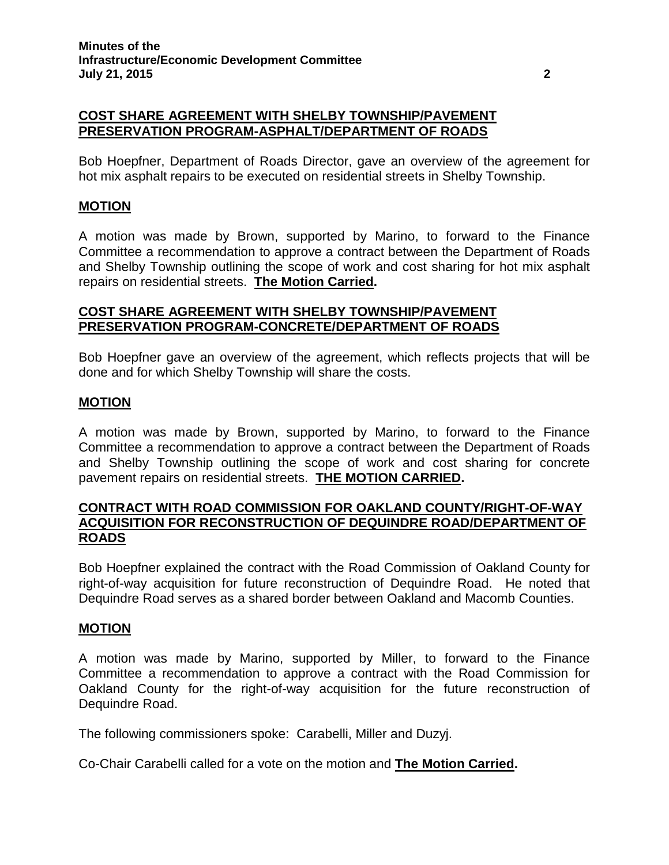### **COST SHARE AGREEMENT WITH SHELBY TOWNSHIP/PAVEMENT PRESERVATION PROGRAM-ASPHALT/DEPARTMENT OF ROADS**

Bob Hoepfner, Department of Roads Director, gave an overview of the agreement for hot mix asphalt repairs to be executed on residential streets in Shelby Township.

## **MOTION**

A motion was made by Brown, supported by Marino, to forward to the Finance Committee a recommendation to approve a contract between the Department of Roads and Shelby Township outlining the scope of work and cost sharing for hot mix asphalt repairs on residential streets. **The Motion Carried.**

# **COST SHARE AGREEMENT WITH SHELBY TOWNSHIP/PAVEMENT PRESERVATION PROGRAM-CONCRETE/DEPARTMENT OF ROADS**

Bob Hoepfner gave an overview of the agreement, which reflects projects that will be done and for which Shelby Township will share the costs.

### **MOTION**

A motion was made by Brown, supported by Marino, to forward to the Finance Committee a recommendation to approve a contract between the Department of Roads and Shelby Township outlining the scope of work and cost sharing for concrete pavement repairs on residential streets. **THE MOTION CARRIED.**

### **CONTRACT WITH ROAD COMMISSION FOR OAKLAND COUNTY/RIGHT-OF-WAY ACQUISITION FOR RECONSTRUCTION OF DEQUINDRE ROAD/DEPARTMENT OF ROADS**

Bob Hoepfner explained the contract with the Road Commission of Oakland County for right-of-way acquisition for future reconstruction of Dequindre Road. He noted that Dequindre Road serves as a shared border between Oakland and Macomb Counties.

#### **MOTION**

A motion was made by Marino, supported by Miller, to forward to the Finance Committee a recommendation to approve a contract with the Road Commission for Oakland County for the right-of-way acquisition for the future reconstruction of Dequindre Road.

The following commissioners spoke: Carabelli, Miller and Duzyj.

Co-Chair Carabelli called for a vote on the motion and **The Motion Carried.**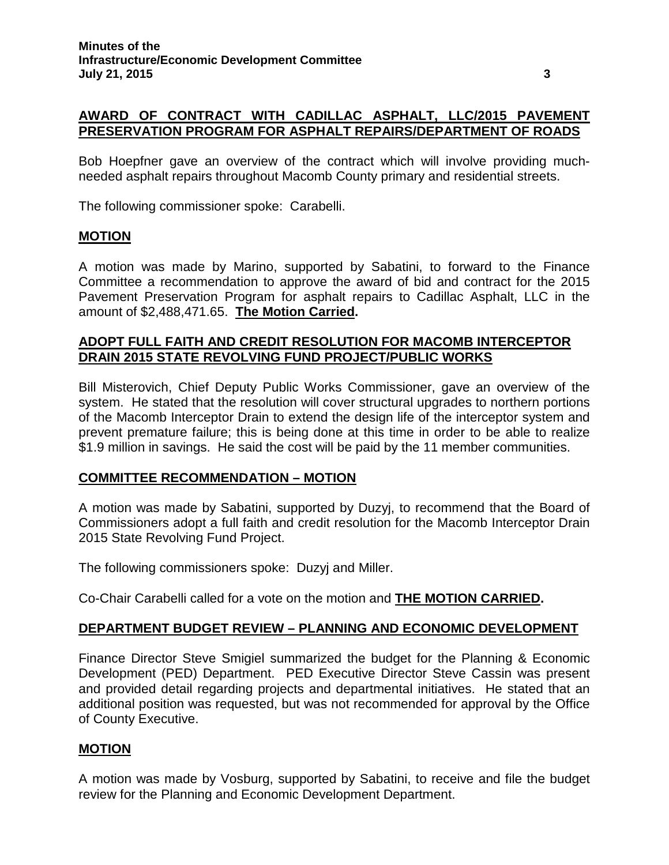# **AWARD OF CONTRACT WITH CADILLAC ASPHALT, LLC/2015 PAVEMENT PRESERVATION PROGRAM FOR ASPHALT REPAIRS/DEPARTMENT OF ROADS**

Bob Hoepfner gave an overview of the contract which will involve providing muchneeded asphalt repairs throughout Macomb County primary and residential streets.

The following commissioner spoke: Carabelli.

#### **MOTION**

A motion was made by Marino, supported by Sabatini, to forward to the Finance Committee a recommendation to approve the award of bid and contract for the 2015 Pavement Preservation Program for asphalt repairs to Cadillac Asphalt, LLC in the amount of \$2,488,471.65. **The Motion Carried.**

## **ADOPT FULL FAITH AND CREDIT RESOLUTION FOR MACOMB INTERCEPTOR DRAIN 2015 STATE REVOLVING FUND PROJECT/PUBLIC WORKS**

Bill Misterovich, Chief Deputy Public Works Commissioner, gave an overview of the system. He stated that the resolution will cover structural upgrades to northern portions of the Macomb Interceptor Drain to extend the design life of the interceptor system and prevent premature failure; this is being done at this time in order to be able to realize \$1.9 million in savings. He said the cost will be paid by the 11 member communities.

#### **COMMITTEE RECOMMENDATION – MOTION**

A motion was made by Sabatini, supported by Duzyj, to recommend that the Board of Commissioners adopt a full faith and credit resolution for the Macomb Interceptor Drain 2015 State Revolving Fund Project.

The following commissioners spoke: Duzyj and Miller.

Co-Chair Carabelli called for a vote on the motion and **THE MOTION CARRIED.**

# **DEPARTMENT BUDGET REVIEW – PLANNING AND ECONOMIC DEVELOPMENT**

Finance Director Steve Smigiel summarized the budget for the Planning & Economic Development (PED) Department. PED Executive Director Steve Cassin was present and provided detail regarding projects and departmental initiatives. He stated that an additional position was requested, but was not recommended for approval by the Office of County Executive.

#### **MOTION**

A motion was made by Vosburg, supported by Sabatini, to receive and file the budget review for the Planning and Economic Development Department.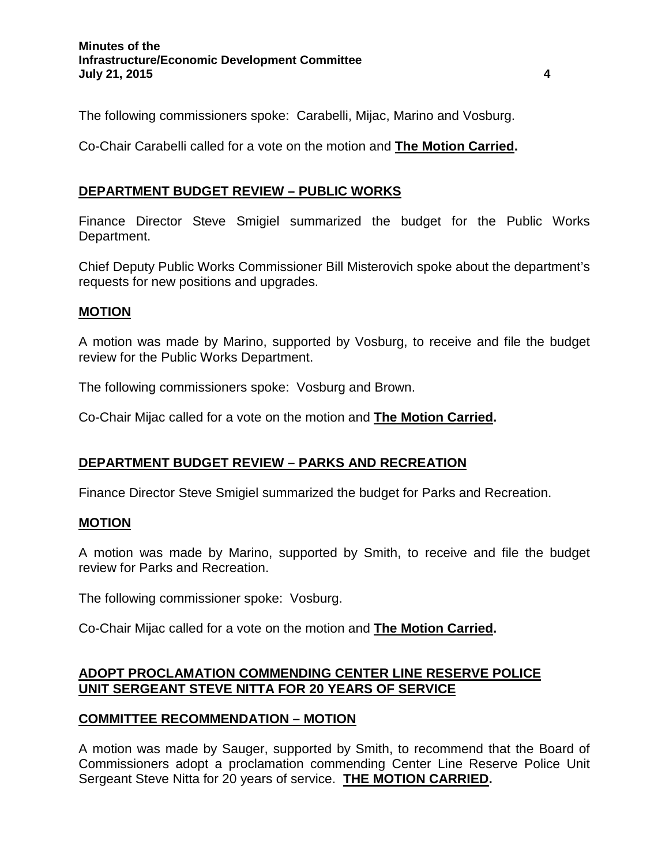The following commissioners spoke: Carabelli, Mijac, Marino and Vosburg.

Co-Chair Carabelli called for a vote on the motion and **The Motion Carried.**

# **DEPARTMENT BUDGET REVIEW – PUBLIC WORKS**

Finance Director Steve Smigiel summarized the budget for the Public Works Department.

Chief Deputy Public Works Commissioner Bill Misterovich spoke about the department's requests for new positions and upgrades.

# **MOTION**

A motion was made by Marino, supported by Vosburg, to receive and file the budget review for the Public Works Department.

The following commissioners spoke: Vosburg and Brown.

Co-Chair Mijac called for a vote on the motion and **The Motion Carried.**

# **DEPARTMENT BUDGET REVIEW – PARKS AND RECREATION**

Finance Director Steve Smigiel summarized the budget for Parks and Recreation.

# **MOTION**

A motion was made by Marino, supported by Smith, to receive and file the budget review for Parks and Recreation.

The following commissioner spoke: Vosburg.

Co-Chair Mijac called for a vote on the motion and **The Motion Carried.**

# **ADOPT PROCLAMATION COMMENDING CENTER LINE RESERVE POLICE UNIT SERGEANT STEVE NITTA FOR 20 YEARS OF SERVICE**

# **COMMITTEE RECOMMENDATION – MOTION**

A motion was made by Sauger, supported by Smith, to recommend that the Board of Commissioners adopt a proclamation commending Center Line Reserve Police Unit Sergeant Steve Nitta for 20 years of service. **THE MOTION CARRIED.**